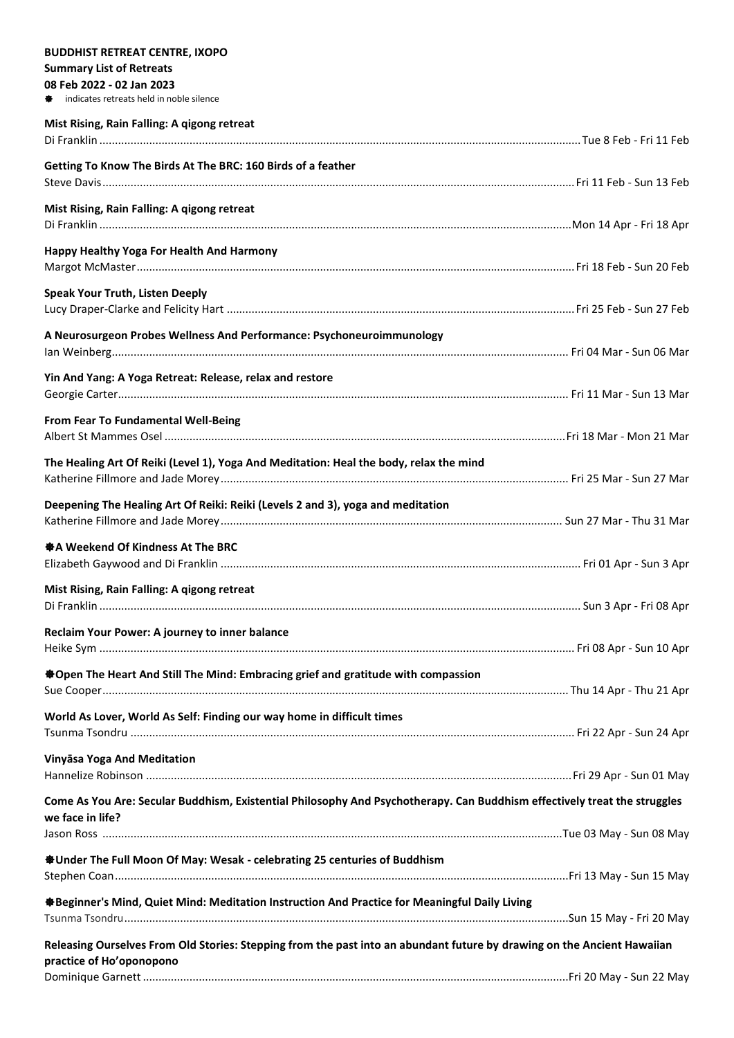| <b>BUDDHIST RETREAT CENTRE, IXOPO</b>                                                                                     |  |
|---------------------------------------------------------------------------------------------------------------------------|--|
| <b>Summary List of Retreats</b>                                                                                           |  |
| 08 Feb 2022 - 02 Jan 2023                                                                                                 |  |
| indicates retreats held in noble silence                                                                                  |  |
| Mist Rising, Rain Falling: A qigong retreat                                                                               |  |
|                                                                                                                           |  |
|                                                                                                                           |  |
| Getting To Know The Birds At The BRC: 160 Birds of a feather                                                              |  |
|                                                                                                                           |  |
| Mist Rising, Rain Falling: A qigong retreat                                                                               |  |
|                                                                                                                           |  |
| Happy Healthy Yoga For Health And Harmony                                                                                 |  |
|                                                                                                                           |  |
|                                                                                                                           |  |
| <b>Speak Your Truth, Listen Deeply</b>                                                                                    |  |
|                                                                                                                           |  |
| A Neurosurgeon Probes Wellness And Performance: Psychoneuroimmunology                                                     |  |
|                                                                                                                           |  |
|                                                                                                                           |  |
| Yin And Yang: A Yoga Retreat: Release, relax and restore                                                                  |  |
|                                                                                                                           |  |
| From Fear To Fundamental Well-Being                                                                                       |  |
|                                                                                                                           |  |
|                                                                                                                           |  |
| The Healing Art Of Reiki (Level 1), Yoga And Meditation: Heal the body, relax the mind                                    |  |
|                                                                                                                           |  |
| Deepening The Healing Art Of Reiki: Reiki (Levels 2 and 3), yoga and meditation                                           |  |
|                                                                                                                           |  |
|                                                                                                                           |  |
| ※ A Weekend Of Kindness At The BRC                                                                                        |  |
|                                                                                                                           |  |
| Mist Rising, Rain Falling: A qigong retreat                                                                               |  |
|                                                                                                                           |  |
| Reclaim Your Power: A journey to inner balance                                                                            |  |
|                                                                                                                           |  |
|                                                                                                                           |  |
| <b>Sopen The Heart And Still The Mind: Embracing grief and gratitude with compassion</b>                                  |  |
|                                                                                                                           |  |
| World As Lover, World As Self: Finding our way home in difficult times                                                    |  |
|                                                                                                                           |  |
|                                                                                                                           |  |
| Vinyāsa Yoga And Meditation                                                                                               |  |
|                                                                                                                           |  |
| Come As You Are: Secular Buddhism, Existential Philosophy And Psychotherapy. Can Buddhism effectively treat the struggles |  |
| we face in life?                                                                                                          |  |
|                                                                                                                           |  |
|                                                                                                                           |  |
| <b><math>\clubsuit</math> Under The Full Moon Of May: Wesak - celebrating 25 centuries of Buddhism</b>                    |  |
|                                                                                                                           |  |
| ※Beginner's Mind, Quiet Mind: Meditation Instruction And Practice for Meaningful Daily Living                             |  |
|                                                                                                                           |  |
| Releasing Ourselves From Old Stories: Stepping from the past into an abundant future by drawing on the Ancient Hawaiian   |  |
| practice of Ho'oponopono                                                                                                  |  |
|                                                                                                                           |  |
|                                                                                                                           |  |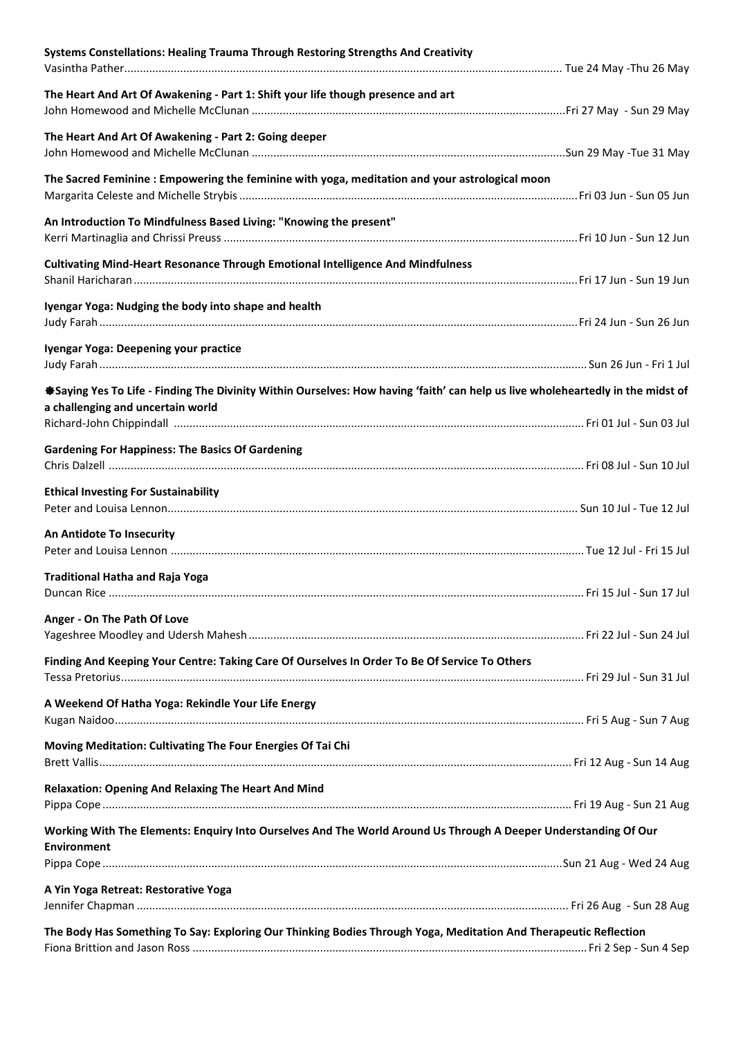| Systems Constellations: Healing Trauma Through Restoring Strengths And Creativity                                               |  |
|---------------------------------------------------------------------------------------------------------------------------------|--|
| The Heart And Art Of Awakening - Part 1: Shift your life though presence and art                                                |  |
| The Heart And Art Of Awakening - Part 2: Going deeper                                                                           |  |
| The Sacred Feminine: Empowering the feminine with yoga, meditation and your astrological moon                                   |  |
| An Introduction To Mindfulness Based Living: "Knowing the present"                                                              |  |
| <b>Cultivating Mind-Heart Resonance Through Emotional Intelligence And Mindfulness</b>                                          |  |
| Iyengar Yoga: Nudging the body into shape and health                                                                            |  |
| Iyengar Yoga: Deepening your practice                                                                                           |  |
| *Saying Yes To Life - Finding The Divinity Within Ourselves: How having 'faith' can help us live wholeheartedly in the midst of |  |
| a challenging and uncertain world                                                                                               |  |
| <b>Gardening For Happiness: The Basics Of Gardening</b>                                                                         |  |
| <b>Ethical Investing For Sustainability</b>                                                                                     |  |
| An Antidote To Insecurity                                                                                                       |  |
| <b>Traditional Hatha and Raja Yoga</b>                                                                                          |  |
| Anger - On The Path Of Love                                                                                                     |  |
| Finding And Keeping Your Centre: Taking Care Of Ourselves In Order To Be Of Service To Others                                   |  |
| A Weekend Of Hatha Yoga: Rekindle Your Life Energy                                                                              |  |
| Moving Meditation: Cultivating The Four Energies Of Tai Chi                                                                     |  |
| <b>Relaxation: Opening And Relaxing The Heart And Mind</b>                                                                      |  |
| Working With The Elements: Enquiry Into Ourselves And The World Around Us Through A Deeper Understanding Of Our                 |  |
| <b>Environment</b>                                                                                                              |  |
| A Yin Yoga Retreat: Restorative Yoga                                                                                            |  |
| The Body Has Something To Say: Exploring Our Thinking Bodies Through Yoga, Meditation And Therapeutic Reflection                |  |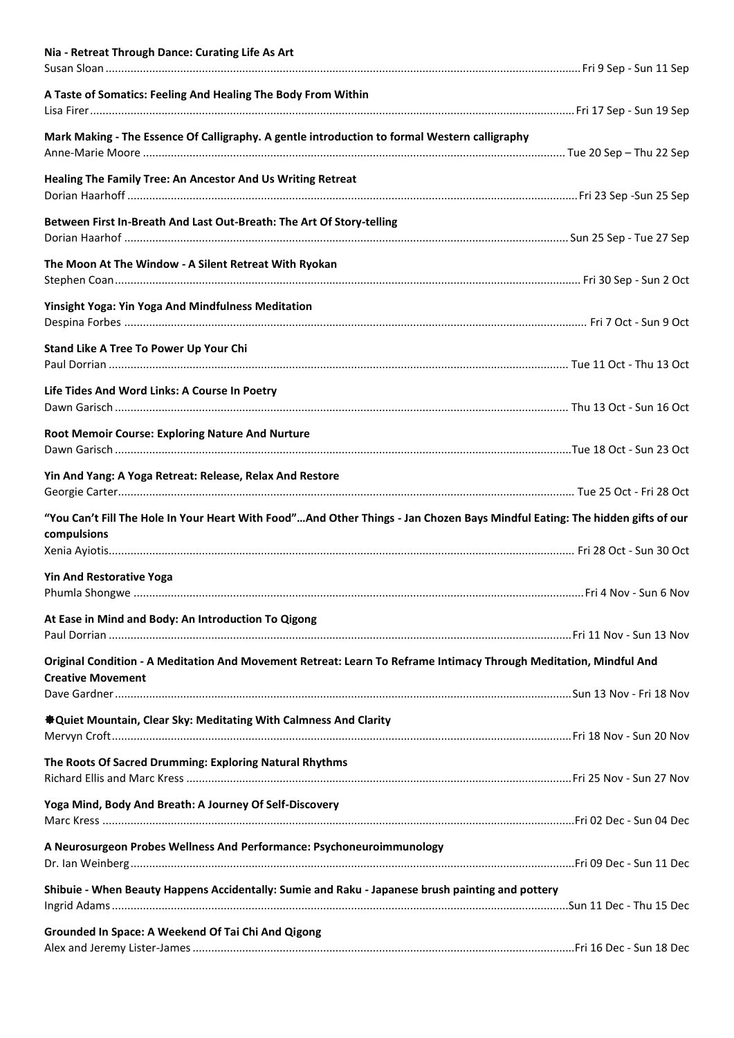| Nia - Retreat Through Dance: Curating Life As Art                                                                                             |  |
|-----------------------------------------------------------------------------------------------------------------------------------------------|--|
| A Taste of Somatics: Feeling And Healing The Body From Within                                                                                 |  |
| Mark Making - The Essence Of Calligraphy. A gentle introduction to formal Western calligraphy                                                 |  |
| Healing The Family Tree: An Ancestor And Us Writing Retreat                                                                                   |  |
| Between First In-Breath And Last Out-Breath: The Art Of Story-telling                                                                         |  |
| The Moon At The Window - A Silent Retreat With Ryokan                                                                                         |  |
| <b>Yinsight Yoga: Yin Yoga And Mindfulness Meditation</b>                                                                                     |  |
| Stand Like A Tree To Power Up Your Chi                                                                                                        |  |
| Life Tides And Word Links: A Course In Poetry                                                                                                 |  |
| Root Memoir Course: Exploring Nature And Nurture                                                                                              |  |
| Yin And Yang: A Yoga Retreat: Release, Relax And Restore                                                                                      |  |
| "You Can't Fill The Hole In Your Heart With Food"And Other Things - Jan Chozen Bays Mindful Eating: The hidden gifts of our<br>compulsions    |  |
|                                                                                                                                               |  |
| <b>Yin And Restorative Yoga</b>                                                                                                               |  |
| At Ease in Mind and Body: An Introduction To Qigong                                                                                           |  |
| Original Condition - A Meditation And Movement Retreat: Learn To Reframe Intimacy Through Meditation, Mindful And<br><b>Creative Movement</b> |  |
| <b>ADD</b> Quiet Mountain, Clear Sky: Meditating With Calmness And Clarity                                                                    |  |
| The Roots Of Sacred Drumming: Exploring Natural Rhythms                                                                                       |  |
| Yoga Mind, Body And Breath: A Journey Of Self-Discovery                                                                                       |  |
| A Neurosurgeon Probes Wellness And Performance: Psychoneuroimmunology                                                                         |  |
| Shibuie - When Beauty Happens Accidentally: Sumie and Raku - Japanese brush painting and pottery                                              |  |
| Grounded In Space: A Weekend Of Tai Chi And Qigong                                                                                            |  |